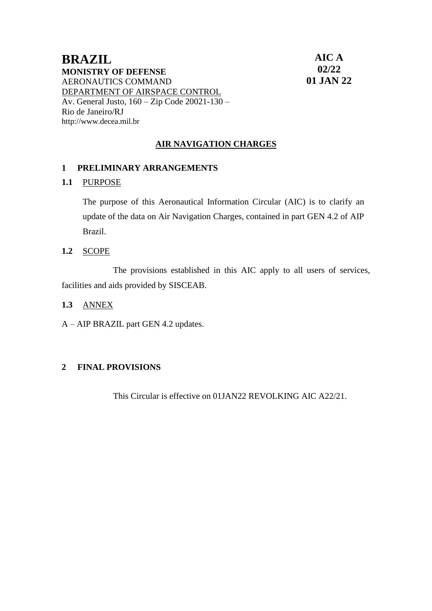### **BRAZIL MONISTRY OF DEFENSE** AERONAUTICS COMMAND DEPARTMENT OF AIRSPACE CONTROL Av. General Justo, 160 – Zip Code 20021-130 – Rio de Janeiro/RJ [http://www.decea.mil.br](http://www.decea.mil.br/)

**AIC A 02/22 01 JAN 22**

## **AIR NAVIGATION CHARGES**

#### **1 PRELIMINARY ARRANGEMENTS**

#### **1.1** PURPOSE

The purpose of this Aeronautical Information Circular (AIC) is to clarify an update of the data on Air Navigation Charges, contained in part GEN 4.2 of AIP Brazil.

**1.2** SCOPE

The provisions established in this AIC apply to all users of services, facilities and aids provided by SISCEAB.

- **1.3** ANNEX
- A AIP BRAZIL part GEN 4.2 updates.

#### **2 FINAL PROVISIONS**

This Circular is effective on 01JAN22 REVOLKING AIC A22/21.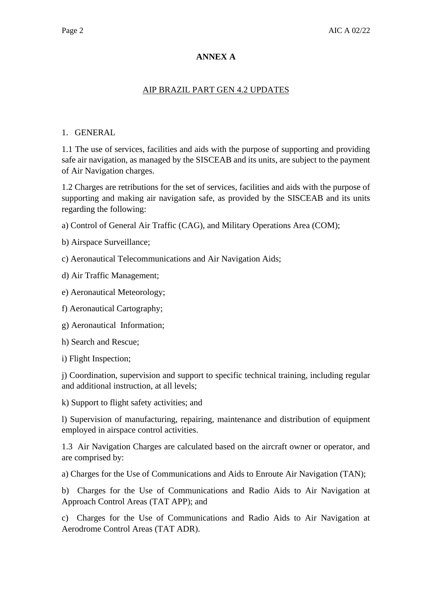#### **ANNEX A**

#### AIP BRAZIL PART GEN 4.2 UPDATES

#### 1. GENERAL

1.1 The use of services, facilities and aids with the purpose of supporting and providing safe air navigation, as managed by the SISCEAB and its units, are subject to the payment of Air Navigation charges.

1.2 Charges are retributions for the set of services, facilities and aids with the purpose of supporting and making air navigation safe, as provided by the SISCEAB and its units regarding the following:

a) Control of General Air Traffic (CAG), and Military Operations Area (COM);

b) Airspace Surveillance;

c) Aeronautical Telecommunications and Air Navigation Aids;

d) Air Traffic Management;

e) Aeronautical Meteorology;

f) Aeronautical Cartography;

g) Aeronautical Information;

h) Search and Rescue;

i) Flight Inspection;

j) Coordination, supervision and support to specific technical training, including regular and additional instruction, at all levels;

k) Support to flight safety activities; and

l) Supervision of manufacturing, repairing, maintenance and distribution of equipment employed in airspace control activities.

1.3 Air Navigation Charges are calculated based on the aircraft owner or operator, and are comprised by:

a) Charges for the Use of Communications and Aids to Enroute Air Navigation (TAN);

b) Charges for the Use of Communications and Radio Aids to Air Navigation at Approach Control Areas (TAT APP); and

c) Charges for the Use of Communications and Radio Aids to Air Navigation at Aerodrome Control Areas (TAT ADR).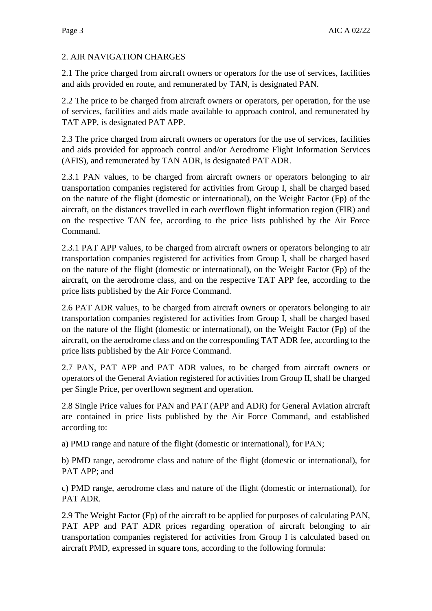## 2. AIR NAVIGATION CHARGES

2.1 The price charged from aircraft owners or operators for the use of services, facilities and aids provided en route, and remunerated by TAN, is designated PAN.

2.2 The price to be charged from aircraft owners or operators, per operation, for the use of services, facilities and aids made available to approach control, and remunerated by TAT APP, is designated PAT APP.

2.3 The price charged from aircraft owners or operators for the use of services, facilities and aids provided for approach control and/or Aerodrome Flight Information Services (AFIS), and remunerated by TAN ADR, is designated PAT ADR.

2.3.1 PAN values, to be charged from aircraft owners or operators belonging to air transportation companies registered for activities from Group I, shall be charged based on the nature of the flight (domestic or international), on the Weight Factor (Fp) of the aircraft, on the distances travelled in each overflown flight information region (FIR) and on the respective TAN fee, according to the price lists published by the Air Force Command.

2.3.1 PAT APP values, to be charged from aircraft owners or operators belonging to air transportation companies registered for activities from Group I, shall be charged based on the nature of the flight (domestic or international), on the Weight Factor (Fp) of the aircraft, on the aerodrome class, and on the respective TAT APP fee, according to the price lists published by the Air Force Command.

2.6 PAT ADR values, to be charged from aircraft owners or operators belonging to air transportation companies registered for activities from Group I, shall be charged based on the nature of the flight (domestic or international), on the Weight Factor (Fp) of the aircraft, on the aerodrome class and on the corresponding TAT ADR fee, according to the price lists published by the Air Force Command.

2.7 PAN, PAT APP and PAT ADR values, to be charged from aircraft owners or operators of the General Aviation registered for activities from Group II, shall be charged per Single Price, per overflown segment and operation.

2.8 Single Price values for PAN and PAT (APP and ADR) for General Aviation aircraft are contained in price lists published by the Air Force Command, and established according to:

a) PMD range and nature of the flight (domestic or international), for PAN;

b) PMD range, aerodrome class and nature of the flight (domestic or international), for PAT APP; and

c) PMD range, aerodrome class and nature of the flight (domestic or international), for PAT ADR.

2.9 The Weight Factor (Fp) of the aircraft to be applied for purposes of calculating PAN, PAT APP and PAT ADR prices regarding operation of aircraft belonging to air transportation companies registered for activities from Group I is calculated based on aircraft PMD, expressed in square tons, according to the following formula: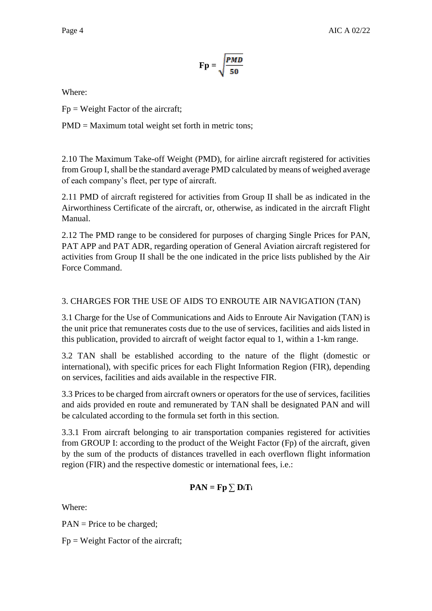$$
\mathbf{Fp} = \sqrt{\frac{PMD}{50}}
$$

Where:

 $Fp = Weight Factor of the aircraft;$ 

PMD = Maximum total weight set forth in metric tons;

2.10 The Maximum Take-off Weight (PMD), for airline aircraft registered for activities from Group I, shall be the standard average PMD calculated by means of weighed average of each company's fleet, per type of aircraft.

2.11 PMD of aircraft registered for activities from Group II shall be as indicated in the Airworthiness Certificate of the aircraft, or, otherwise, as indicated in the aircraft Flight Manual.

2.12 The PMD range to be considered for purposes of charging Single Prices for PAN, PAT APP and PAT ADR, regarding operation of General Aviation aircraft registered for activities from Group II shall be the one indicated in the price lists published by the Air Force Command.

### 3. CHARGES FOR THE USE OF AIDS TO ENROUTE AIR NAVIGATION (TAN)

3.1 Charge for the Use of Communications and Aids to Enroute Air Navigation (TAN) is the unit price that remunerates costs due to the use of services, facilities and aids listed in this publication, provided to aircraft of weight factor equal to 1, within a 1-km range.

3.2 TAN shall be established according to the nature of the flight (domestic or international), with specific prices for each Flight Information Region (FIR), depending on services, facilities and aids available in the respective FIR.

3.3 Prices to be charged from aircraft owners or operators for the use of services, facilities and aids provided en route and remunerated by TAN shall be designated PAN and will be calculated according to the formula set forth in this section.

3.3.1 From aircraft belonging to air transportation companies registered for activities from GROUP I: according to the product of the Weight Factor (Fp) of the aircraft, given by the sum of the products of distances travelled in each overflown flight information region (FIR) and the respective domestic or international fees, i.e.:

$$
PAN = Fp \sum D_iT_i
$$

Where:

PAN = Price to be charged;

 $Fp = Weight Factor of the aircraft;$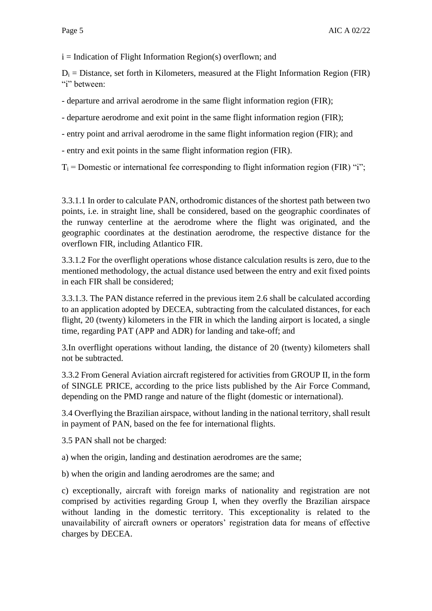$i = Indication of Flight Information Region(s) overflow; and$ 

 $D_i$  = Distance, set forth in Kilometers, measured at the Flight Information Region (FIR) "i" between:

- departure and arrival aerodrome in the same flight information region (FIR);

- departure aerodrome and exit point in the same flight information region (FIR);

- entry point and arrival aerodrome in the same flight information region (FIR); and

- entry and exit points in the same flight information region (FIR).

 $T_i$  = Domestic or international fee corresponding to flight information region (FIR) "i";

3.3.1.1 In order to calculate PAN, orthodromic distances of the shortest path between two points, i.e. in straight line, shall be considered, based on the geographic coordinates of the runway centerline at the aerodrome where the flight was originated, and the geographic coordinates at the destination aerodrome, the respective distance for the overflown FIR, including Atlantico FIR.

3.3.1.2 For the overflight operations whose distance calculation results is zero, due to the mentioned methodology, the actual distance used between the entry and exit fixed points in each FIR shall be considered;

3.3.1.3. The PAN distance referred in the previous item 2.6 shall be calculated according to an application adopted by DECEA, subtracting from the calculated distances, for each flight, 20 (twenty) kilometers in the FIR in which the landing airport is located, a single time, regarding PAT (APP and ADR) for landing and take-off; and

3.In overflight operations without landing, the distance of 20 (twenty) kilometers shall not be subtracted.

3.3.2 From General Aviation aircraft registered for activities from GROUP II, in the form of SINGLE PRICE, according to the price lists published by the Air Force Command, depending on the PMD range and nature of the flight (domestic or international).

3.4 Overflying the Brazilian airspace, without landing in the national territory, shall result in payment of PAN, based on the fee for international flights.

3.5 PAN shall not be charged:

a) when the origin, landing and destination aerodromes are the same;

b) when the origin and landing aerodromes are the same; and

c) exceptionally, aircraft with foreign marks of nationality and registration are not comprised by activities regarding Group I, when they overfly the Brazilian airspace without landing in the domestic territory. This exceptionality is related to the unavailability of aircraft owners or operators' registration data for means of effective charges by DECEA.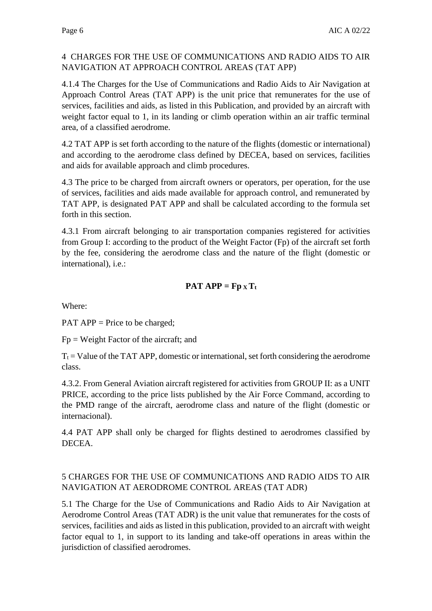### 4 CHARGES FOR THE USE OF COMMUNICATIONS AND RADIO AIDS TO AIR NAVIGATION AT APPROACH CONTROL AREAS (TAT APP)

4.1.4 The Charges for the Use of Communications and Radio Aids to Air Navigation at Approach Control Areas (TAT APP) is the unit price that remunerates for the use of services, facilities and aids, as listed in this Publication, and provided by an aircraft with weight factor equal to 1, in its landing or climb operation within an air traffic terminal area, of a classified aerodrome.

4.2 TAT APP is set forth according to the nature of the flights (domestic or international) and according to the aerodrome class defined by DECEA, based on services, facilities and aids for available approach and climb procedures.

4.3 The price to be charged from aircraft owners or operators, per operation, for the use of services, facilities and aids made available for approach control, and remunerated by TAT APP, is designated PAT APP and shall be calculated according to the formula set forth in this section.

4.3.1 From aircraft belonging to air transportation companies registered for activities from Group I: according to the product of the Weight Factor (Fp) of the aircraft set forth by the fee, considering the aerodrome class and the nature of the flight (domestic or international), i.e.:

# **PAT APP** =  $\mathbf{Fp} \times \mathbf{T_t}$

Where:

PAT APP = Price to be charged;

Fp = Weight Factor of the aircraft; and

 $T_t$  = Value of the TAT APP, domestic or international, set forth considering the aerodrome class.

4.3.2. From General Aviation aircraft registered for activities from GROUP II: as a UNIT PRICE, according to the price lists published by the Air Force Command, according to the PMD range of the aircraft, aerodrome class and nature of the flight (domestic or internacional).

4.4 PAT APP shall only be charged for flights destined to aerodromes classified by DECEA.

### 5 CHARGES FOR THE USE OF COMMUNICATIONS AND RADIO AIDS TO AIR NAVIGATION AT AERODROME CONTROL AREAS (TAT ADR)

5.1 The Charge for the Use of Communications and Radio Aids to Air Navigation at Aerodrome Control Areas (TAT ADR) is the unit value that remunerates for the costs of services, facilities and aids as listed in this publication, provided to an aircraft with weight factor equal to 1, in support to its landing and take-off operations in areas within the jurisdiction of classified aerodromes.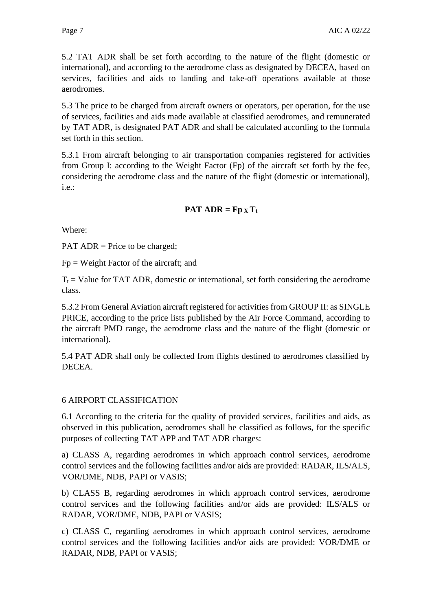5.2 TAT ADR shall be set forth according to the nature of the flight (domestic or international), and according to the aerodrome class as designated by DECEA, based on services, facilities and aids to landing and take-off operations available at those aerodromes.

5.3 The price to be charged from aircraft owners or operators, per operation, for the use of services, facilities and aids made available at classified aerodromes, and remunerated by TAT ADR, is designated PAT ADR and shall be calculated according to the formula set forth in this section.

5.3.1 From aircraft belonging to air transportation companies registered for activities from Group I: according to the Weight Factor (Fp) of the aircraft set forth by the fee, considering the aerodrome class and the nature of the flight (domestic or international), i.e.:

## **PAT ADR = Fp**  $\mathbf{X}$ **T**<sub>t</sub>

Where:

PAT ADR = Price to be charged;

Fp = Weight Factor of the aircraft; and

 $T_t$  = Value for TAT ADR, domestic or international, set forth considering the aerodrome class.

5.3.2 From General Aviation aircraft registered for activities from GROUP II: as SINGLE PRICE, according to the price lists published by the Air Force Command, according to the aircraft PMD range, the aerodrome class and the nature of the flight (domestic or international).

5.4 PAT ADR shall only be collected from flights destined to aerodromes classified by DECEA.

#### 6 AIRPORT CLASSIFICATION

6.1 According to the criteria for the quality of provided services, facilities and aids, as observed in this publication, aerodromes shall be classified as follows, for the specific purposes of collecting TAT APP and TAT ADR charges:

a) CLASS A, regarding aerodromes in which approach control services, aerodrome control services and the following facilities and/or aids are provided: RADAR, ILS/ALS, VOR/DME, NDB, PAPI or VASIS;

b) CLASS B, regarding aerodromes in which approach control services, aerodrome control services and the following facilities and/or aids are provided: ILS/ALS or RADAR, VOR/DME, NDB, PAPI or VASIS;

c) CLASS C, regarding aerodromes in which approach control services, aerodrome control services and the following facilities and/or aids are provided: VOR/DME or RADAR, NDB, PAPI or VASIS;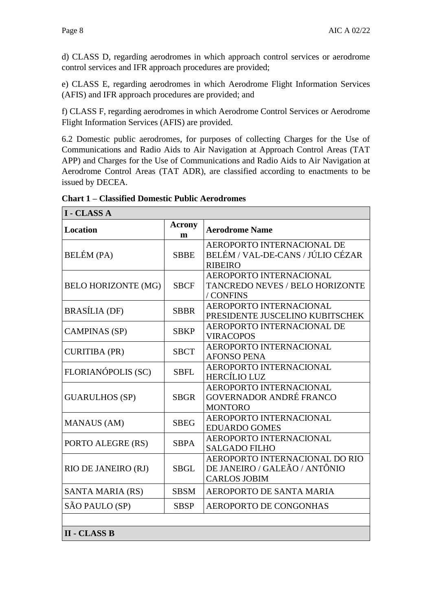٦

d) CLASS D, regarding aerodromes in which approach control services or aerodrome control services and IFR approach procedures are provided;

e) CLASS E, regarding aerodromes in which Aerodrome Flight Information Services (AFIS) and IFR approach procedures are provided; and

f) CLASS F, regarding aerodromes in which Aerodrome Control Services or Aerodrome Flight Information Services (AFIS) are provided.

6.2 Domestic public aerodromes, for purposes of collecting Charges for the Use of Communications and Radio Aids to Air Navigation at Approach Control Areas (TAT APP) and Charges for the Use of Communications and Radio Aids to Air Navigation at Aerodrome Control Areas (TAT ADR), are classified according to enactments to be issued by DECEA.

| <b>I - CLASS A</b>         |                    |                                                                                        |  |  |  |  |
|----------------------------|--------------------|----------------------------------------------------------------------------------------|--|--|--|--|
| <b>Location</b>            | <b>Acrony</b><br>m | <b>Aerodrome Name</b>                                                                  |  |  |  |  |
| <b>BELÉM</b> (PA)          | <b>SBBE</b>        | AEROPORTO INTERNACIONAL DE<br>BELÉM / VAL-DE-CANS / JÚLIO CÉZAR<br><b>RIBEIRO</b>      |  |  |  |  |
| <b>BELO HORIZONTE (MG)</b> | <b>SBCF</b>        | AEROPORTO INTERNACIONAL<br><b>TANCREDO NEVES / BELO HORIZONTE</b><br>/ CONFINS         |  |  |  |  |
| <b>BRASÍLIA</b> (DF)       | <b>SBBR</b>        | AEROPORTO INTERNACIONAL<br>PRESIDENTE JUSCELINO KUBITSCHEK                             |  |  |  |  |
| <b>CAMPINAS (SP)</b>       | <b>SBKP</b>        | <b>AEROPORTO INTERNACIONAL DE</b><br><b>VIRACOPOS</b>                                  |  |  |  |  |
| <b>CURITIBA (PR)</b>       | <b>SBCT</b>        | AEROPORTO INTERNACIONAL<br><b>AFONSO PENA</b>                                          |  |  |  |  |
| FLORIANÓPOLIS (SC)         | <b>SBFL</b>        | AEROPORTO INTERNACIONAL<br>HERCÍLIO LUZ                                                |  |  |  |  |
| <b>GUARULHOS (SP)</b>      | <b>SBGR</b>        | AEROPORTO INTERNACIONAL<br><b>GOVERNADOR ANDRÉ FRANCO</b><br><b>MONTORO</b>            |  |  |  |  |
| <b>MANAUS (AM)</b>         | <b>SBEG</b>        | AEROPORTO INTERNACIONAL<br><b>EDUARDO GOMES</b>                                        |  |  |  |  |
| PORTO ALEGRE (RS)          | <b>SBPA</b>        | AEROPORTO INTERNACIONAL<br><b>SALGADO FILHO</b>                                        |  |  |  |  |
| RIO DE JANEIRO (RJ)        | <b>SBGL</b>        | AEROPORTO INTERNACIONAL DO RIO<br>DE JANEIRO / GALEÃO / ANTÔNIO<br><b>CARLOS JOBIM</b> |  |  |  |  |
| SANTA MARIA (RS)           | <b>SBSM</b>        | AEROPORTO DE SANTA MARIA                                                               |  |  |  |  |
| SÃO PAULO (SP)             | <b>SBSP</b>        | <b>AEROPORTO DE CONGONHAS</b>                                                          |  |  |  |  |
|                            |                    |                                                                                        |  |  |  |  |
| <b>II - CLASS B</b>        |                    |                                                                                        |  |  |  |  |

**Chart 1 – Classified Domestic Public Aerodromes**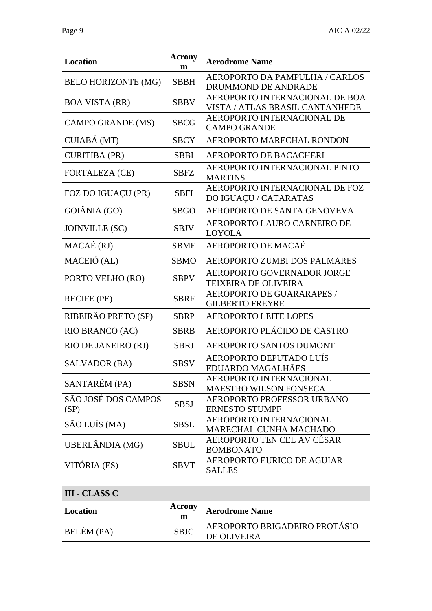| <b>Location</b>             | <b>Acrony</b><br>m | <b>Aerodrome Name</b>                                             |  |  |
|-----------------------------|--------------------|-------------------------------------------------------------------|--|--|
| <b>BELO HORIZONTE (MG)</b>  | <b>SBBH</b>        | AEROPORTO DA PAMPULHA / CARLOS<br>DRUMMOND DE ANDRADE             |  |  |
| <b>BOA VISTA (RR)</b>       | <b>SBBV</b>        | AEROPORTO INTERNACIONAL DE BOA<br>VISTA / ATLAS BRASIL CANTANHEDE |  |  |
| <b>CAMPO GRANDE (MS)</b>    | <b>SBCG</b>        | AEROPORTO INTERNACIONAL DE<br><b>CAMPO GRANDE</b>                 |  |  |
| CUIABÁ (MT)                 | <b>SBCY</b>        | AEROPORTO MARECHAL RONDON                                         |  |  |
| <b>CURITIBA (PR)</b>        | <b>SBBI</b>        | AEROPORTO DE BACACHERI                                            |  |  |
| <b>FORTALEZA (CE)</b>       | <b>SBFZ</b>        | AEROPORTO INTERNACIONAL PINTO<br><b>MARTINS</b>                   |  |  |
| FOZ DO IGUAÇU (PR)          | <b>SBFI</b>        | AEROPORTO INTERNACIONAL DE FOZ<br>DO IGUAÇU / CATARATAS           |  |  |
| GOIÂNIA (GO)                | <b>SBGO</b>        | AEROPORTO DE SANTA GENOVEVA                                       |  |  |
| <b>JOINVILLE (SC)</b>       | <b>SBJV</b>        | AEROPORTO LAURO CARNEIRO DE<br><b>LOYOLA</b>                      |  |  |
| MACAÉ (RJ)                  | <b>SBME</b>        | AEROPORTO DE MACAÉ                                                |  |  |
| MACEIÓ (AL)                 | <b>SBMO</b>        | AEROPORTO ZUMBI DOS PALMARES                                      |  |  |
| PORTO VELHO (RO)            | <b>SBPV</b>        | AEROPORTO GOVERNADOR JORGE<br><b>TEIXEIRA DE OLIVEIRA</b>         |  |  |
| <b>RECIFE (PE)</b>          | <b>SBRF</b>        | AEROPORTO DE GUARARAPES /<br><b>GILBERTO FREYRE</b>               |  |  |
| RIBEIRÃO PRETO (SP)         | <b>SBRP</b>        | <b>AEROPORTO LEITE LOPES</b>                                      |  |  |
| RIO BRANCO (AC)             | <b>SBRB</b>        | AEROPORTO PLÁCIDO DE CASTRO                                       |  |  |
| RIO DE JANEIRO (RJ)         | <b>SBRJ</b>        | AEROPORTO SANTOS DUMONT                                           |  |  |
| SALVADOR (BA)               | <b>SBSV</b>        | AEROPORTO DEPUTADO LUÍS<br><b>EDUARDO MAGALHÃES</b>               |  |  |
| SANTARÉM (PA)               | <b>SBSN</b>        | AEROPORTO INTERNACIONAL<br>MAESTRO WILSON FONSECA                 |  |  |
| SÃO JOSÉ DOS CAMPOS<br>(SP) | <b>SBSJ</b>        | AEROPORTO PROFESSOR URBANO<br><b>ERNESTO STUMPF</b>               |  |  |
| SÃO LUÍS (MA)               | <b>SBSL</b>        | AEROPORTO INTERNACIONAL<br>MARECHAL CUNHA MACHADO                 |  |  |
| UBERLÂNDIA (MG)             | <b>SBUL</b>        | AEROPORTO TEN CEL AV CÉSAR<br><b>BOMBONATO</b>                    |  |  |
| VITÓRIA (ES)                | <b>SBVT</b>        | AEROPORTO EURICO DE AGUIAR<br><b>SALLES</b>                       |  |  |
|                             |                    |                                                                   |  |  |
| <b>III - CLASS C</b>        |                    |                                                                   |  |  |
| Location                    | Acrony<br>m        | <b>Aerodrome Name</b>                                             |  |  |
| BELÉM (PA)                  | <b>SBJC</b>        | AEROPORTO BRIGADEIRO PROTÁSIO<br>DE OLIVEIRA                      |  |  |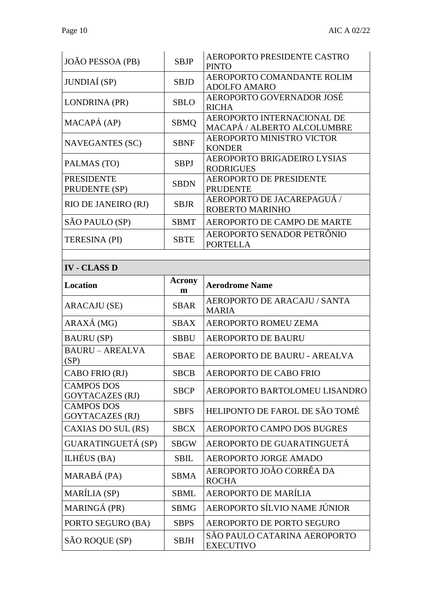| JOÃO PESSOA (PB)                            | <b>SBJP</b>        | <b>AEROPORTO PRESIDENTE CASTRO</b><br><b>PINTO</b>               |
|---------------------------------------------|--------------------|------------------------------------------------------------------|
| JUNDIAÍ (SP)                                | <b>SBJD</b>        | AEROPORTO COMANDANTE ROLIM<br><b>ADOLFO AMARO</b>                |
| LONDRINA (PR)                               | <b>SBLO</b>        | AEROPORTO GOVERNADOR JOSÉ<br><b>RICHA</b>                        |
| MACAPÁ (AP)                                 | <b>SBMQ</b>        | <b>AEROPORTO INTERNACIONAL DE</b><br>MACAPÁ / ALBERTO ALCOLUMBRE |
| <b>NAVEGANTES (SC)</b>                      | <b>SBNF</b>        | <b>AEROPORTO MINISTRO VICTOR</b><br><b>KONDER</b>                |
| PALMAS (TO)                                 | <b>SBPJ</b>        | AEROPORTO BRIGADEIRO LYSIAS<br><b>RODRIGUES</b>                  |
| <b>PRESIDENTE</b><br>PRUDENTE (SP)          | <b>SBDN</b>        | <b>AEROPORTO DE PRESIDENTE</b><br><b>PRUDENTE</b>                |
| RIO DE JANEIRO (RJ)                         | <b>SBJR</b>        | AEROPORTO DE JACAREPAGUÁ /<br>ROBERTO MARINHO                    |
| SÃO PAULO (SP)                              | <b>SBMT</b>        | AEROPORTO DE CAMPO DE MARTE                                      |
| <b>TERESINA (PI)</b>                        | <b>SBTE</b>        | AEROPORTO SENADOR PETRÔNIO<br><b>PORTELLA</b>                    |
|                                             |                    |                                                                  |
| <b>IV - CLASS D</b>                         |                    |                                                                  |
| Location                                    | <b>Acrony</b><br>m | <b>Aerodrome Name</b>                                            |
|                                             |                    | AEROPORTO DE ARACAJU / SANTA                                     |
| <b>ARACAJU (SE)</b>                         | <b>SBAR</b>        | <b>MARIA</b>                                                     |
| ARAXÁ (MG)                                  | <b>SBAX</b>        | AEROPORTO ROMEU ZEMA                                             |
| <b>BAURU</b> (SP)                           | <b>SBBU</b>        | <b>AEROPORTO DE BAURU</b>                                        |
| <b>BAURU - AREALVA</b><br>(SP)              | <b>SBAE</b>        | AEROPORTO DE BAURU - AREALVA                                     |
| CABO FRIO (RJ)                              | <b>SBCB</b>        | AEROPORTO DE CABO FRIO                                           |
| <b>CAMPOS DOS</b><br><b>GOYTACAZES (RJ)</b> | <b>SBCP</b>        | AEROPORTO BARTOLOMEU LISANDRO                                    |
| <b>CAMPOS DOS</b><br><b>GOYTACAZES (RJ)</b> | <b>SBFS</b>        | HELIPONTO DE FAROL DE SÃO TOMÉ                                   |
| CAXIAS DO SUL (RS)                          | <b>SBCX</b>        | AEROPORTO CAMPO DOS BUGRES                                       |
| <b>GUARATINGUETÁ (SP)</b>                   | <b>SBGW</b>        | AEROPORTO DE GUARATINGUETÁ                                       |
| ILHÉUS (BA)                                 | <b>SBIL</b>        | AEROPORTO JORGE AMADO                                            |
| MARABÁ (PA)                                 | SBMA               | AEROPORTO JOÃO CORRÊA DA<br><b>ROCHA</b>                         |
| <b>MARÍLIA</b> (SP)                         | <b>SBML</b>        | AEROPORTO DE MARÍLIA                                             |
| MARINGÁ (PR)                                | <b>SBMG</b>        | AEROPORTO SÍLVIO NAME JÚNIOR                                     |
| PORTO SEGURO (BA)                           | <b>SBPS</b>        | <b>AEROPORTO DE PORTO SEGURO</b>                                 |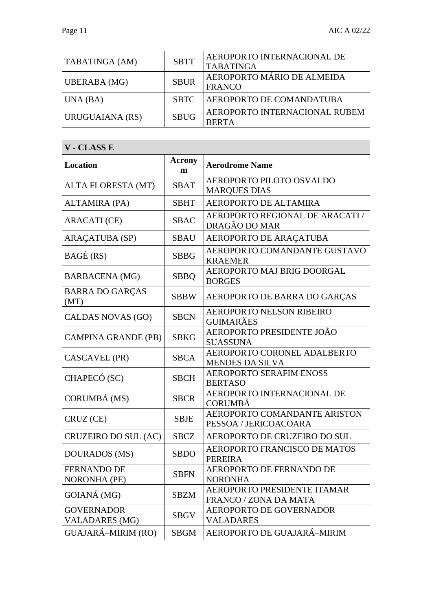| TABATINGA (AM)                            | <b>SBTT</b> | AEROPORTO INTERNACIONAL DE<br><b>TABATINGA</b>        |
|-------------------------------------------|-------------|-------------------------------------------------------|
| <b>UBERABA</b> (MG)                       | <b>SBUR</b> | AEROPORTO MÁRIO DE ALMEIDA<br><b>FRANCO</b>           |
| UNA (BA)                                  | <b>SBTC</b> | AEROPORTO DE COMANDATUBA                              |
| URUGUAIANA (RS)                           | <b>SBUG</b> | AEROPORTO INTERNACIONAL RUBEM<br><b>BERTA</b>         |
| V - CLASS E                               |             |                                                       |
| Location                                  | Acrony<br>m | <b>Aerodrome Name</b>                                 |
|                                           |             | AEROPORTO PILOTO OSVALDO                              |
| ALTA FLORESTA (MT)                        | <b>SBAT</b> | <b>MARQUES DIAS</b>                                   |
| <b>ALTAMIRA (PA)</b>                      | <b>SBHT</b> | AEROPORTO DE ALTAMIRA                                 |
| <b>ARACATI</b> (CE)                       | <b>SBAC</b> | AEROPORTO REGIONAL DE ARACATI /<br>DRAGÃO DO MAR      |
| <b>ARAÇATUBA (SP)</b>                     | <b>SBAU</b> | AEROPORTO DE ARAÇATUBA                                |
| BAGÉ (RS)                                 | <b>SBBG</b> | AEROPORTO COMANDANTE GUSTAVO<br><b>KRAEMER</b>        |
| <b>BARBACENA</b> (MG)                     | <b>SBBQ</b> | AEROPORTO MAJ BRIG DOORGAL<br><b>BORGES</b>           |
| <b>BARRA DO GARÇAS</b><br>(MT)            | SBBW        | AEROPORTO DE BARRA DO GARÇAS                          |
| <b>CALDAS NOVAS (GO)</b>                  | <b>SBCN</b> | <b>AEROPORTO NELSON RIBEIRO</b><br><b>GUIMARÃES</b>   |
| <b>CAMPINA GRANDE (PB)</b>                | <b>SBKG</b> | AEROPORTO PRESIDENTE JOÃO<br><b>SUASSUNA</b>          |
| CASCAVEL (PR)                             | <b>SBCA</b> | AEROPORTO CORONEL ADALBERTO<br><b>MENDES DA SILVA</b> |
| CHAPECÓ (SC)                              | <b>SBCH</b> | <b>AEROPORTO SERAFIM ENOSS</b><br><b>BERTASO</b>      |
| CORUMBÁ (MS)                              | <b>SBCR</b> | AEROPORTO INTERNACIONAL DE<br><b>CORUMBÁ</b>          |
| CRUZ (CE)                                 | <b>SBJE</b> | AEROPORTO COMANDANTE ARISTON<br>PESSOA / JERICOACOARA |
| CRUZEIRO DO SUL (AC)                      | <b>SBCZ</b> | AEROPORTO DE CRUZEIRO DO SUL                          |
| DOURADOS (MS)                             | <b>SBDO</b> | AEROPORTO FRANCISCO DE MATOS<br><b>PEREIRA</b>        |
| <b>FERNANDO DE</b><br><b>NORONHA (PE)</b> | <b>SBFN</b> | AEROPORTO DE FERNANDO DE<br><b>NORONHA</b>            |
| GOIANÁ (MG)                               | <b>SBZM</b> | AEROPORTO PRESIDENTE ITAMAR<br>FRANCO / ZONA DA MATA  |
| <b>GOVERNADOR</b>                         | <b>SBGV</b> | <b>AEROPORTO DE GOVERNADOR</b>                        |
| <b>VALADARES (MG)</b>                     |             | <b>VALADARES</b>                                      |
| GUAJARÁ-MIRIM (RO)                        | <b>SBGM</b> | AEROPORTO DE GUAJARÁ-MIRIM                            |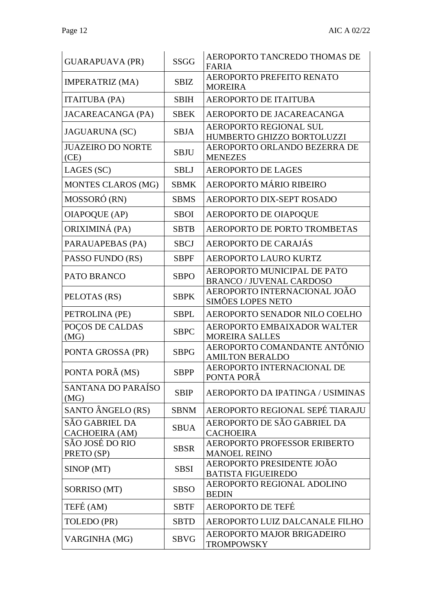| <b>GUARAPUAVA (PR)</b>                  | <b>SSGG</b> | AEROPORTO TANCREDO THOMAS DE<br><b>FARIA</b>                   |
|-----------------------------------------|-------------|----------------------------------------------------------------|
| <b>IMPERATRIZ (MA)</b>                  | <b>SBIZ</b> | AEROPORTO PREFEITO RENATO<br><b>MOREIRA</b>                    |
| <b>ITAITUBA (PA)</b>                    | <b>SBIH</b> | <b>AEROPORTO DE ITAITUBA</b>                                   |
| <b>JACAREACANGA (PA)</b>                | <b>SBEK</b> | AEROPORTO DE JACAREACANGA                                      |
| <b>JAGUARUNA (SC)</b>                   | <b>SBJA</b> | <b>AEROPORTO REGIONAL SUL</b><br>HUMBERTO GHIZZO BORTOLUZZI    |
| <b>JUAZEIRO DO NORTE</b><br>(CE)        | <b>SBJU</b> | AEROPORTO ORLANDO BEZERRA DE<br><b>MENEZES</b>                 |
| LAGES (SC)                              | <b>SBLJ</b> | <b>AEROPORTO DE LAGES</b>                                      |
| MONTES CLAROS (MG)                      | <b>SBMK</b> | AEROPORTO MÁRIO RIBEIRO                                        |
| MOSSORÓ (RN)                            | <b>SBMS</b> | AEROPORTO DIX-SEPT ROSADO                                      |
| <b>OIAPOQUE (AP)</b>                    | <b>SBOI</b> | AEROPORTO DE OIAPOQUE                                          |
| ORIXIMINÁ (PA)                          | <b>SBTB</b> | AEROPORTO DE PORTO TROMBETAS                                   |
| PARAUAPEBAS (PA)                        | <b>SBCJ</b> | AEROPORTO DE CARAJÁS                                           |
| PASSO FUNDO (RS)                        | <b>SBPF</b> | AEROPORTO LAURO KURTZ                                          |
| PATO BRANCO                             | <b>SBPO</b> | AEROPORTO MUNICIPAL DE PATO<br><b>BRANCO / JUVENAL CARDOSO</b> |
| PELOTAS (RS)                            | <b>SBPK</b> | AEROPORTO INTERNACIONAL JOÃO<br><b>SIMÕES LOPES NETO</b>       |
| PETROLINA (PE)                          | <b>SBPL</b> | AEROPORTO SENADOR NILO COELHO                                  |
| POÇOS DE CALDAS<br>(MG)                 | <b>SBPC</b> | AEROPORTO EMBAIXADOR WALTER<br><b>MOREIRA SALLES</b>           |
| PONTA GROSSA (PR)                       | <b>SBPG</b> | AEROPORTO COMANDANTE ANTÔNIO<br><b>AMILTON BERALDO</b>         |
| PONTA PORÃ (MS)                         | <b>SBPP</b> | AEROPORTO INTERNACIONAL DE<br>PONTA PORÂ                       |
| SANTANA DO PARAÍSO<br>(MG)              | <b>SBIP</b> | AEROPORTO DA IPATINGA / USIMINAS                               |
| SANTO ÂNGELO (RS)                       | <b>SBNM</b> | AEROPORTO REGIONAL SEPÉ TIARAJU                                |
| <b>SÃO GABRIEL DA</b><br>CACHOEIRA (AM) | <b>SBUA</b> | AEROPORTO DE SÃO GABRIEL DA<br><b>CACHOEIRA</b>                |
| SÃO JOSÉ DO RIO<br>PRETO (SP)           | <b>SBSR</b> | AEROPORTO PROFESSOR ERIBERTO<br><b>MANOEL REINO</b>            |
| SINOP (MT)                              | <b>SBSI</b> | AEROPORTO PRESIDENTE JOÃO<br><b>BATISTA FIGUEIREDO</b>         |
| SORRISO (MT)                            | <b>SBSO</b> | AEROPORTO REGIONAL ADOLINO<br><b>BEDIN</b>                     |
| TEFÉ (AM)                               | <b>SBTF</b> | AEROPORTO DE TEFÉ                                              |
| TOLEDO (PR)                             | <b>SBTD</b> | AEROPORTO LUIZ DALCANALE FILHO                                 |
| VARGINHA (MG)                           | <b>SBVG</b> | AEROPORTO MAJOR BRIGADEIRO<br><b>TROMPOWSKY</b>                |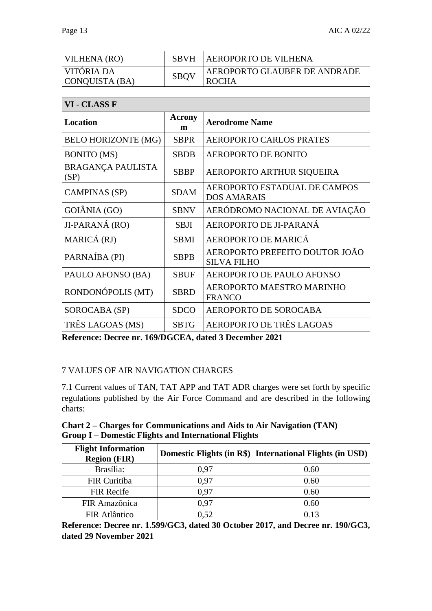| <b>VILHENA (RO)</b>              | <b>SBVH</b> | <b>AEROPORTO DE VILHENA</b>                          |
|----------------------------------|-------------|------------------------------------------------------|
| VITÓRIA DA<br>CONQUISTA (BA)     | <b>SBQV</b> | AEROPORTO GLAUBER DE ANDRADE<br><b>ROCHA</b>         |
|                                  |             |                                                      |
| VI - CLASS F                     |             |                                                      |
| Location                         | Acrony<br>m | <b>Aerodrome Name</b>                                |
| <b>BELO HORIZONTE (MG)</b>       | <b>SBPR</b> | <b>AEROPORTO CARLOS PRATES</b>                       |
| <b>BONITO</b> (MS)               | <b>SBDB</b> | <b>AEROPORTO DE BONITO</b>                           |
| <b>BRAGANÇA PAULISTA</b><br>(SP) | <b>SBBP</b> | AEROPORTO ARTHUR SIQUEIRA                            |
| <b>CAMPINAS (SP)</b>             | <b>SDAM</b> | AEROPORTO ESTADUAL DE CAMPOS<br><b>DOS AMARAIS</b>   |
| GOIÂNIA (GO)                     | <b>SBNV</b> | AERÓDROMO NACIONAL DE AVIAÇÃO                        |
| JI-PARANÁ (RO)                   | <b>SBJI</b> | AEROPORTO DE JI-PARANÁ                               |
| MARICÁ (RJ)                      | <b>SBMI</b> | AEROPORTO DE MARICÁ                                  |
| PARNAÍBA (PI)                    | <b>SBPB</b> | AEROPORTO PREFEITO DOUTOR JOÃO<br><b>SILVA FILHO</b> |
| PAULO AFONSO (BA)                | <b>SBUF</b> | AEROPORTO DE PAULO AFONSO                            |
| RONDONÓPOLIS (MT)                | <b>SBRD</b> | AEROPORTO MAESTRO MARINHO<br><b>FRANCO</b>           |
| SOROCABA (SP)                    | <b>SDCO</b> | AEROPORTO DE SOROCABA                                |
| TRÊS LAGOAS (MS)                 | <b>SBTG</b> | AEROPORTO DE TRÊS LAGOAS                             |

**Reference: Decree nr. 169/DGCEA, dated 3 December 2021**

## 7 VALUES OF AIR NAVIGATION CHARGES

7.1 Current values of TAN, TAT APP and TAT ADR charges were set forth by specific regulations published by the Air Force Command and are described in the following charts:

**Chart 2 – Charges for Communications and Aids to Air Navigation (TAN) Group I – Domestic Flights and International Flights**

| <b>Flight Information</b><br><b>Region (FIR)</b> |      | Domestic Flights (in R\$)   International Flights (in USD) |
|--------------------------------------------------|------|------------------------------------------------------------|
| Brasília:                                        | 0.97 | 0.60                                                       |
| FIR Curitiba                                     | 0.97 | 0.60                                                       |
| <b>FIR Recife</b>                                | 0.97 | 0.60                                                       |
| FIR Amazônica                                    | 0.97 | 0.60                                                       |
| FIR Atlântico                                    | 0.52 | 0.13                                                       |

**Reference: Decree nr. 1.599/GC3, dated 30 October 2017, and Decree nr. 190/GC3, dated 29 November 2021**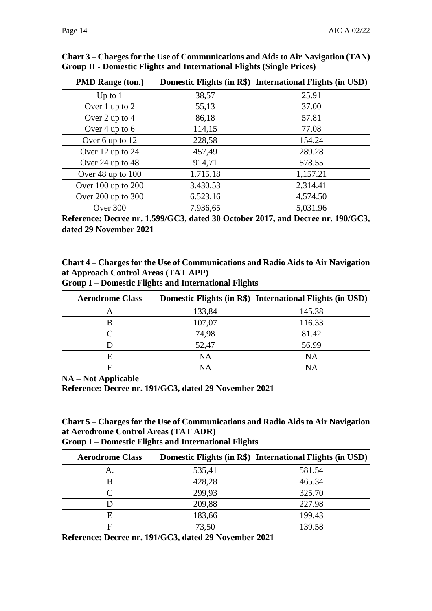| <b>PMD Range (ton.)</b> |          | Domestic Flights (in R\$)   International Flights (in USD) |
|-------------------------|----------|------------------------------------------------------------|
| Up to $1$               | 38,57    | 25.91                                                      |
| Over 1 up to 2          | 55,13    | 37.00                                                      |
| Over 2 up to 4          | 86,18    | 57.81                                                      |
| Over 4 up to $6$        | 114,15   | 77.08                                                      |
| Over 6 up to 12         | 228,58   | 154.24                                                     |
| Over 12 up to 24        | 457,49   | 289.28                                                     |
| Over 24 up to 48        | 914,71   | 578.55                                                     |
| Over 48 up to 100       | 1.715,18 | 1,157.21                                                   |
| Over 100 up to 200      | 3.430,53 | 2,314.41                                                   |
| Over 200 up to 300      | 6.523,16 | 4,574.50                                                   |
| Over 300                | 7.936,65 | 5,031.96                                                   |

**Chart 3 – Charges for the Use of Communications and Aids to Air Navigation (TAN) Group II - Domestic Flights and International Flights (Single Prices)**

**Reference: Decree nr. 1.599/GC3, dated 30 October 2017, and Decree nr. 190/GC3, dated 29 November 2021**

**Chart 4 – Charges for the Use of Communications and Radio Aids to Air Navigation at Approach Control Areas (TAT APP) Group I – Domestic Flights and International Flights**

| <b>Aerodrome Class</b> |           | Domestic Flights (in R\$)   International Flights (in USD) |
|------------------------|-----------|------------------------------------------------------------|
|                        | 133,84    | 145.38                                                     |
|                        | 107,07    | 116.33                                                     |
|                        | 74,98     | 81.42                                                      |
|                        | 52,47     | 56.99                                                      |
|                        | <b>NA</b> | NA                                                         |
|                        | NΑ        | NΑ                                                         |

**NA – Not Applicable**

**Reference: Decree nr. 191/GC3, dated 29 November 2021**

**Chart 5 – Charges for the Use of Communications and Radio Aids to Air Navigation at Aerodrome Control Areas (TAT ADR)**

**Group I – Domestic Flights and International Flights**

| <b>Aerodrome Class</b> |        | Domestic Flights (in R\$)   International Flights (in USD) |
|------------------------|--------|------------------------------------------------------------|
| А.                     | 535,41 | 581.54                                                     |
|                        | 428,28 | 465.34                                                     |
|                        | 299,93 | 325.70                                                     |
|                        | 209,88 | 227.98                                                     |
|                        | 183,66 | 199.43                                                     |
|                        | 73,50  | 139.58                                                     |

**Reference: Decree nr. 191/GC3, dated 29 November 2021**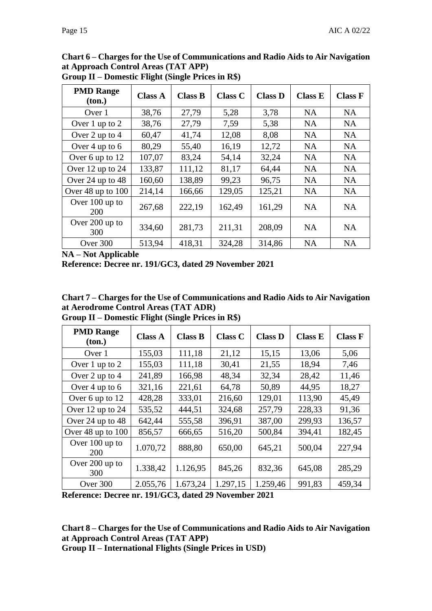| <b>PMD Range</b><br>(ton.) | <b>Class A</b> | <b>Class B</b> | <b>Class C</b> | <b>Class D</b> | <b>Class E</b> | <b>Class F</b> |
|----------------------------|----------------|----------------|----------------|----------------|----------------|----------------|
| Over 1                     | 38,76          | 27,79          | 5,28           | 3,78           | <b>NA</b>      | <b>NA</b>      |
| Over 1 up to 2             | 38,76          | 27,79          | 7,59           | 5,38           | <b>NA</b>      | <b>NA</b>      |
| Over 2 up to 4             | 60,47          | 41,74          | 12,08          | 8,08           | <b>NA</b>      | <b>NA</b>      |
| Over 4 up to 6             | 80,29          | 55,40          | 16,19          | 12,72          | <b>NA</b>      | <b>NA</b>      |
| Over 6 up to 12            | 107,07         | 83,24          | 54,14          | 32,24          | <b>NA</b>      | <b>NA</b>      |
| Over 12 up to 24           | 133,87         | 111,12         | 81,17          | 64,44          | <b>NA</b>      | <b>NA</b>      |
| Over 24 up to 48           | 160,60         | 138,89         | 99,23          | 96,75          | <b>NA</b>      | <b>NA</b>      |
| Over 48 up to 100          | 214,14         | 166,66         | 129,05         | 125,21         | <b>NA</b>      | <b>NA</b>      |
| Over 100 up to<br>200      | 267,68         | 222,19         | 162,49         | 161,29         | <b>NA</b>      | <b>NA</b>      |
| Over 200 up to<br>300      | 334,60         | 281,73         | 211,31         | 208,09         | <b>NA</b>      | <b>NA</b>      |
| Over 300                   | 513,94         | 418,31         | 324,28         | 314,86         | <b>NA</b>      | <b>NA</b>      |

**Chart 6 – Charges for the Use of Communications and Radio Aids to Air Navigation at Approach Control Areas (TAT APP) Group II – Domestic Flight (Single Prices in R\$)**

**NA – Not Applicable**

**Reference: Decree nr. 191/GC3, dated 29 November 2021**

**Chart 7 – Charges for the Use of Communications and Radio Aids to Air Navigation at Aerodrome Control Areas (TAT ADR)**

| Group II – Domestic Flight (Single Prices in R\$) |  |  |  |  |  |
|---------------------------------------------------|--|--|--|--|--|
|---------------------------------------------------|--|--|--|--|--|

| <b>PMD Range</b><br>(ton.) | <b>Class A</b> | <b>Class B</b> | <b>Class C</b> | <b>Class D</b> | <b>Class E</b> | <b>Class F</b> |
|----------------------------|----------------|----------------|----------------|----------------|----------------|----------------|
| Over 1                     | 155,03         | 111,18         | 21,12          | 15,15          | 13,06          | 5,06           |
| Over 1 up to 2             | 155,03         | 111,18         | 30,41          | 21,55          | 18,94          | 7,46           |
| Over 2 up to 4             | 241,89         | 166,98         | 48,34          | 32,34          | 28,42          | 11,46          |
| Over 4 up to 6             | 321,16         | 221,61         | 64,78          | 50,89          | 44,95          | 18,27          |
| Over 6 up to 12            | 428,28         | 333,01         | 216,60         | 129,01         | 113,90         | 45,49          |
| Over 12 up to 24           | 535,52         | 444,51         | 324,68         | 257,79         | 228,33         | 91,36          |
| Over 24 up to 48           | 642,44         | 555,58         | 396,91         | 387,00         | 299,93         | 136,57         |
| Over 48 up to 100          | 856,57         | 666,65         | 516,20         | 500,84         | 394,41         | 182,45         |
| Over 100 up to<br>200      | 1.070,72       | 888,80         | 650,00         | 645,21         | 500,04         | 227,94         |
| Over 200 up to<br>300      | 1.338,42       | 1.126,95       | 845,26         | 832,36         | 645,08         | 285,29         |
| Over 300                   | 2.055,76       | 1.673,24       | 1.297,15       | 1.259,46       | 991,83         | 459,34         |

**Reference: Decree nr. 191/GC3, dated 29 November 2021**

**Chart 8 – Charges for the Use of Communications and Radio Aids to Air Navigation at Approach Control Areas (TAT APP)**

**Group II – International Flights (Single Prices in USD)**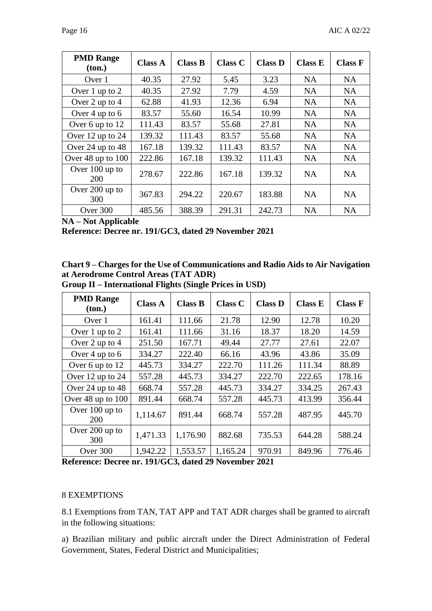| <b>PMD Range</b><br>ton.) | <b>Class A</b> | <b>Class B</b> | <b>Class C</b> | <b>Class D</b> | <b>Class E</b> | <b>Class F</b> |
|---------------------------|----------------|----------------|----------------|----------------|----------------|----------------|
| Over 1                    | 40.35          | 27.92          | 5.45           | 3.23           | <b>NA</b>      | <b>NA</b>      |
| Over 1 up to 2            | 40.35          | 27.92          | 7.79           | 4.59           | <b>NA</b>      | <b>NA</b>      |
| Over 2 up to 4            | 62.88          | 41.93          | 12.36          | 6.94           | <b>NA</b>      | <b>NA</b>      |
| Over 4 up to 6            | 83.57          | 55.60          | 16.54          | 10.99          | <b>NA</b>      | <b>NA</b>      |
| Over 6 up to 12           | 111.43         | 83.57          | 55.68          | 27.81          | NA             | <b>NA</b>      |
| Over 12 up to 24          | 139.32         | 111.43         | 83.57          | 55.68          | <b>NA</b>      | <b>NA</b>      |
| Over 24 up to 48          | 167.18         | 139.32         | 111.43         | 83.57          | <b>NA</b>      | <b>NA</b>      |
| Over 48 up to 100         | 222.86         | 167.18         | 139.32         | 111.43         | <b>NA</b>      | <b>NA</b>      |
| Over $100$ up to<br>200   | 278.67         | 222.86         | 167.18         | 139.32         | <b>NA</b>      | <b>NA</b>      |
| Over 200 up to<br>300     | 367.83         | 294.22         | 220.67         | 183.88         | <b>NA</b>      | <b>NA</b>      |
| Over 300                  | 485.56         | 388.39         | 291.31         | 242.73         | <b>NA</b>      | <b>NA</b>      |

**NA – Not Applicable**

**Reference: Decree nr. 191/GC3, dated 29 November 2021**

| Chart 9 – Charges for the Use of Communications and Radio Aids to Air Navigation     |
|--------------------------------------------------------------------------------------|
| at Aerodrome Control Areas (TAT ADR)                                                 |
| $\alpha$ if it is the set of $\alpha$ in $\alpha$ if $\alpha$ is the set of $\alpha$ |

| <b>PMD Range</b><br>(ton.) | <b>Class A</b> | <b>Class B</b> | <b>Class C</b> | <b>Class D</b> | <b>Class E</b> | <b>Class F</b> |
|----------------------------|----------------|----------------|----------------|----------------|----------------|----------------|
| Over 1                     | 161.41         | 111.66         | 21.78          | 12.90          | 12.78          | 10.20          |
| Over 1 up to 2             | 161.41         | 111.66         | 31.16          | 18.37          | 18.20          | 14.59          |
| Over 2 up to 4             | 251.50         | 167.71         | 49.44          | 27.77          | 27.61          | 22.07          |
| Over 4 up to 6             | 334.27         | 222.40         | 66.16          | 43.96          | 43.86          | 35.09          |
| Over 6 up to 12            | 445.73         | 334.27         | 222.70         | 111.26         | 111.34         | 88.89          |
| Over 12 up to 24           | 557.28         | 445.73         | 334.27         | 222.70         | 222.65         | 178.16         |
| Over 24 up to 48           | 668.74         | 557.28         | 445.73         | 334.27         | 334.25         | 267.43         |
| Over 48 up to 100          | 891.44         | 668.74         | 557.28         | 445.73         | 413.99         | 356.44         |
| Over 100 up to<br>200      | 1,114.67       | 891.44         | 668.74         | 557.28         | 487.95         | 445.70         |
| Over 200 up to<br>300      | 1,471.33       | 1,176.90       | 882.68         | 735.53         | 644.28         | 588.24         |
| Over 300                   | 1,942.22       | 1,553.57       | 1,165.24       | 970.91         | 849.96         | 776.46         |

**Group II – International Flights (Single Prices in USD)**

**Reference: Decree nr. 191/GC3, dated 29 November 2021**

#### 8 EXEMPTIONS

8.1 Exemptions from TAN, TAT APP and TAT ADR charges shall be granted to aircraft in the following situations:

a) Brazilian military and public aircraft under the Direct Administration of Federal Government, States, Federal District and Municipalities;